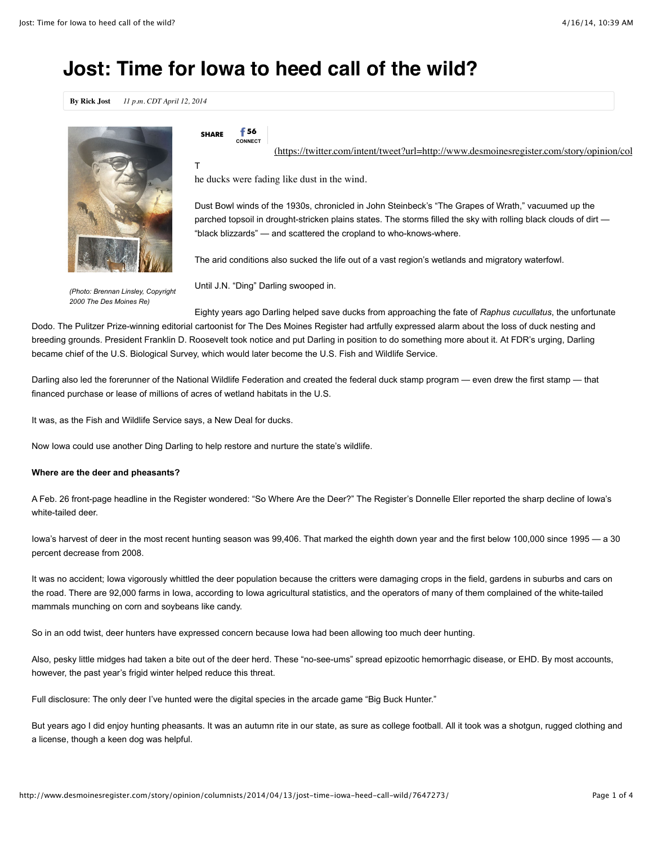# **Jost: Time for Iowa to heed call of the wild?**

**By Rick Jost** *11 p.m. CDT April 12, 2014*



*(Photo: Brennan Linsley, Copyright 2000 The Des Moines Re)*

 $\epsilon$ **u**<sub>nde</sub>  $\epsilon$  56

**CONNECT** (https://twitter.com/intent/tweet?url=http://www.desmoinesregister.com/story/opinion/col

T

he ducks were fading like dust in the wind.

Dust Bowl winds of the 1930s, chronicled in John Steinbeck's "The Grapes of Wrath," vacuumed up the parched topsoil in drought-stricken plains states. The storms filled the sky with rolling black clouds of dirt — "black blizzards" — and scattered the cropland to who-knows-where.

The arid conditions also sucked the life out of a vast region's wetlands and migratory waterfowl.

Until J.N. "Ding" Darling swooped in.

Eighty years ago Darling helped save ducks from approaching the fate of *Raphus cucullatus*, the unfortunate Dodo. The Pulitzer Prize-winning editorial cartoonist for The Des Moines Register had artfully expressed alarm about the loss of duck nesting and breeding grounds. President Franklin D. Roosevelt took notice and put Darling in position to do something more about it. At FDR's urging, Darling became chief of the U.S. Biological Survey, which would later become the U.S. Fish and Wildlife Service.

Darling also led the forerunner of the National Wildlife Federation and created the federal duck stamp program — even drew the first stamp — that financed purchase or lease of millions of acres of wetland habitats in the U.S.

It was, as the Fish and Wildlife Service says, a New Deal for ducks.

Now Iowa could use another Ding Darling to help restore and nurture the state's wildlife.

# **Where are the deer and pheasants?**

A Feb. 26 front-page headline in the Register wondered: "So Where Are the Deer?" The Register's Donnelle Eller reported the sharp decline of Iowa's white-tailed deer.

Iowa's harvest of deer in the most recent hunting season was 99,406. That marked the eighth down year and the first below 100,000 since 1995 — a 30 percent decrease from 2008.

It was no accident; Iowa vigorously whittled the deer population because the critters were damaging crops in the field, gardens in suburbs and cars on the road. There are 92,000 farms in Iowa, according to Iowa agricultural statistics, and the operators of many of them complained of the white-tailed mammals munching on corn and soybeans like candy.

So in an odd twist, deer hunters have expressed concern because Iowa had been allowing too much deer hunting.

Also, pesky little midges had taken a bite out of the deer herd. These "no-see-ums" spread epizootic hemorrhagic disease, or EHD. By most accounts, however, the past year's frigid winter helped reduce this threat.

Full disclosure: The only deer I've hunted were the digital species in the arcade game "Big Buck Hunter."

But years ago I did enjoy hunting pheasants. It was an autumn rite in our state, as sure as college football. All it took was a shotgun, rugged clothing and a license, though a keen dog was helpful.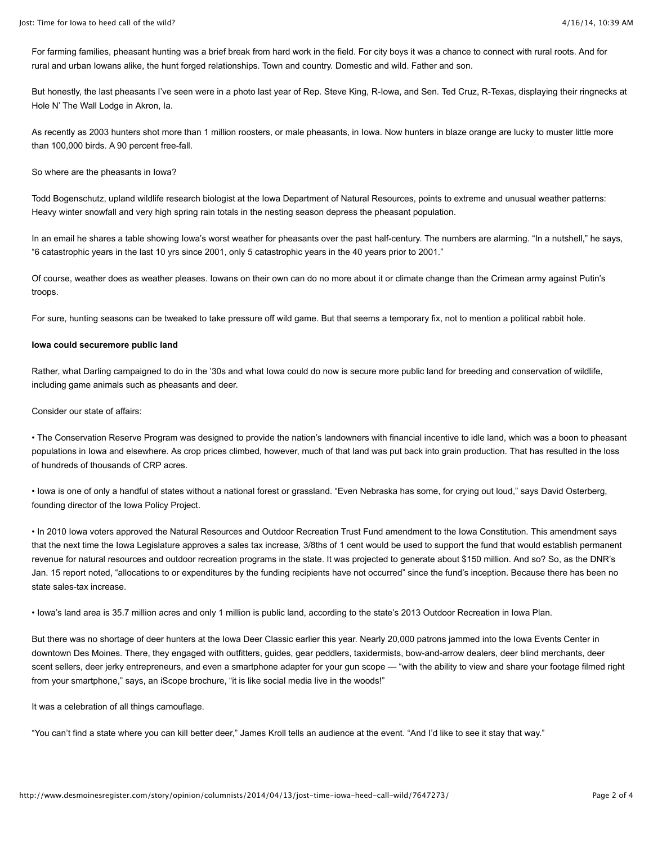For farming families, pheasant hunting was a brief break from hard work in the field. For city boys it was a chance to connect with rural roots. And for rural and urban Iowans alike, the hunt forged relationships. Town and country. Domestic and wild. Father and son.

But honestly, the last pheasants I've seen were in a photo last year of Rep. Steve King, R-Iowa, and Sen. Ted Cruz, R-Texas, displaying their ringnecks at Hole N' The Wall Lodge in Akron, Ia.

As recently as 2003 hunters shot more than 1 million roosters, or male pheasants, in Iowa. Now hunters in blaze orange are lucky to muster little more than 100,000 birds. A 90 percent free-fall.

So where are the pheasants in Iowa?

Todd Bogenschutz, upland wildlife research biologist at the Iowa Department of Natural Resources, points to extreme and unusual weather patterns: Heavy winter snowfall and very high spring rain totals in the nesting season depress the pheasant population.

In an email he shares a table showing Iowa's worst weather for pheasants over the past half-century. The numbers are alarming. "In a nutshell," he says, "6 catastrophic years in the last 10 yrs since 2001, only 5 catastrophic years in the 40 years prior to 2001."

Of course, weather does as weather pleases. Iowans on their own can do no more about it or climate change than the Crimean army against Putin's troops.

For sure, hunting seasons can be tweaked to take pressure off wild game. But that seems a temporary fix, not to mention a political rabbit hole.

### **Iowa could securemore public land**

Rather, what Darling campaigned to do in the '30s and what Iowa could do now is secure more public land for breeding and conservation of wildlife, including game animals such as pheasants and deer.

Consider our state of affairs:

• The Conservation Reserve Program was designed to provide the nation's landowners with financial incentive to idle land, which was a boon to pheasant populations in Iowa and elsewhere. As crop prices climbed, however, much of that land was put back into grain production. That has resulted in the loss of hundreds of thousands of CRP acres.

• Iowa is one of only a handful of states without a national forest or grassland. "Even Nebraska has some, for crying out loud," says David Osterberg, founding director of the Iowa Policy Project.

• In 2010 Iowa voters approved the Natural Resources and Outdoor Recreation Trust Fund amendment to the Iowa Constitution. This amendment says that the next time the Iowa Legislature approves a sales tax increase, 3/8ths of 1 cent would be used to support the fund that would establish permanent revenue for natural resources and outdoor recreation programs in the state. It was projected to generate about \$150 million. And so? So, as the DNR's Jan. 15 report noted, "allocations to or expenditures by the funding recipients have not occurred" since the fund's inception. Because there has been no state sales-tax increase.

• Iowa's land area is 35.7 million acres and only 1 million is public land, according to the state's 2013 Outdoor Recreation in Iowa Plan.

But there was no shortage of deer hunters at the Iowa Deer Classic earlier this year. Nearly 20,000 patrons jammed into the Iowa Events Center in downtown Des Moines. There, they engaged with outfitters, guides, gear peddlers, taxidermists, bow-and-arrow dealers, deer blind merchants, deer scent sellers, deer jerky entrepreneurs, and even a smartphone adapter for your gun scope — "with the ability to view and share your footage filmed right from your smartphone," says, an iScope brochure, "it is like social media live in the woods!"

It was a celebration of all things camouflage.

"You can't find a state where you can kill better deer," James Kroll tells an audience at the event. "And I'd like to see it stay that way."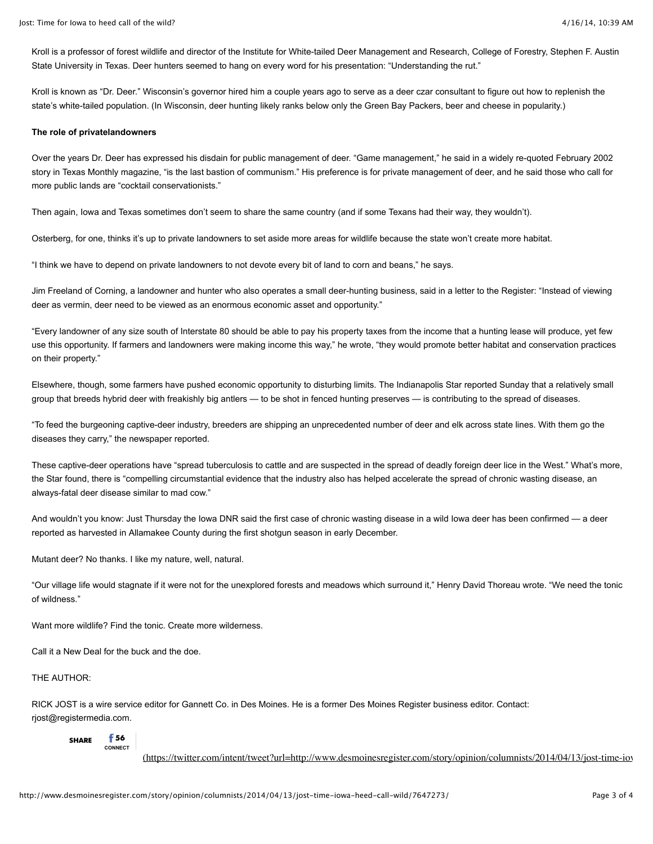Kroll is a professor of forest wildlife and director of the Institute for White-tailed Deer Management and Research, College of Forestry, Stephen F. Austin State University in Texas. Deer hunters seemed to hang on every word for his presentation: "Understanding the rut."

Kroll is known as "Dr. Deer." Wisconsin's governor hired him a couple years ago to serve as a deer czar consultant to figure out how to replenish the state's white-tailed population. (In Wisconsin, deer hunting likely ranks below only the Green Bay Packers, beer and cheese in popularity.)

## **The role of privatelandowners**

Over the years Dr. Deer has expressed his disdain for public management of deer. "Game management," he said in a widely re-quoted February 2002 story in Texas Monthly magazine, "is the last bastion of communism." His preference is for private management of deer, and he said those who call for more public lands are "cocktail conservationists."

Then again, Iowa and Texas sometimes don't seem to share the same country (and if some Texans had their way, they wouldn't).

Osterberg, for one, thinks it's up to private landowners to set aside more areas for wildlife because the state won't create more habitat.

"I think we have to depend on private landowners to not devote every bit of land to corn and beans," he says.

Jim Freeland of Corning, a landowner and hunter who also operates a small deer-hunting business, said in a letter to the Register: "Instead of viewing deer as vermin, deer need to be viewed as an enormous economic asset and opportunity."

"Every landowner of any size south of Interstate 80 should be able to pay his property taxes from the income that a hunting lease will produce, yet few use this opportunity. If farmers and landowners were making income this way," he wrote, "they would promote better habitat and conservation practices on their property."

Elsewhere, though, some farmers have pushed economic opportunity to disturbing limits. The Indianapolis Star reported Sunday that a relatively small group that breeds hybrid deer with freakishly big antlers — to be shot in fenced hunting preserves — is contributing to the spread of diseases.

"To feed the burgeoning captive-deer industry, breeders are shipping an unprecedented number of deer and elk across state lines. With them go the diseases they carry," the newspaper reported.

These captive-deer operations have "spread tuberculosis to cattle and are suspected in the spread of deadly foreign deer lice in the West." What's more, the Star found, there is "compelling circumstantial evidence that the industry also has helped accelerate the spread of chronic wasting disease, an always-fatal deer disease similar to mad cow."

And wouldn't you know: Just Thursday the Iowa DNR said the first case of chronic wasting disease in a wild Iowa deer has been confirmed - a deer reported as harvested in Allamakee County during the first shotgun season in early December.

Mutant deer? No thanks. I like my nature, well, natural.

"Our village life would stagnate if it were not for the unexplored forests and meadows which surround it," Henry David Thoreau wrote. "We need the tonic of wildness."

Want more wildlife? Find the tonic. Create more wilderness.

Call it a New Deal for the buck and the doe.

#### THE AUTHOR:

RICK JOST is a wire service editor for Gannett Co. in Des Moines. He is a former Des Moines Register business editor. Contact: rjost@registermedia.com.

#### **SHARE 56 CONNECT**

(https://twitter.com/intent/tweet?url=http://www.desmoinesregister.com/story/opinion/columnists/2014/04/13/jost-time-iov